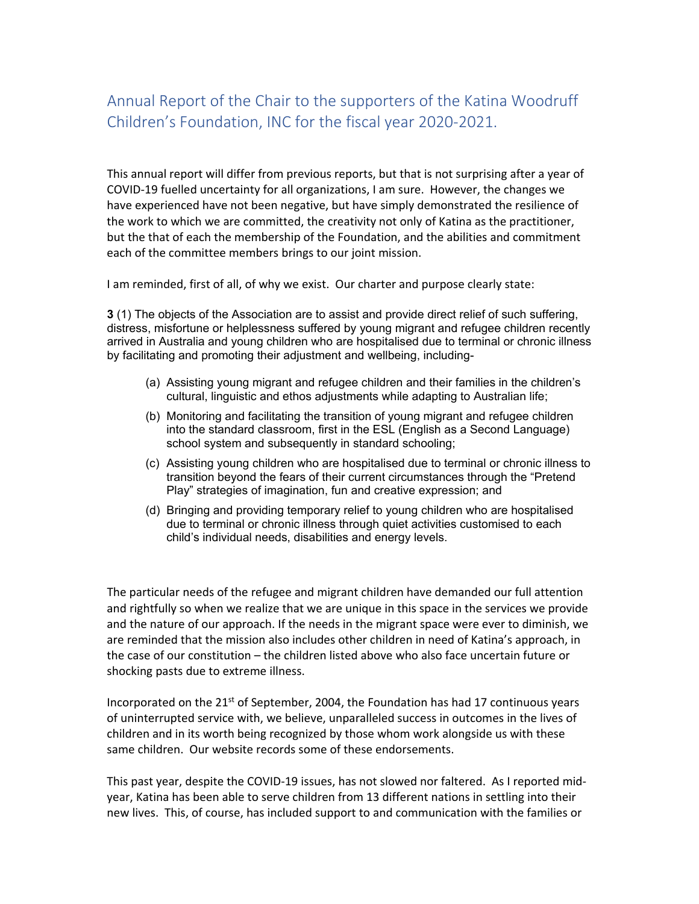## Annual Report of the Chair to the supporters of the Katina Woodruff Children's Foundation, INC for the fiscal year 2020‐2021.

This annual report will differ from previous reports, but that is not surprising after a year of COVID‐19 fuelled uncertainty for all organizations, I am sure. However, the changes we have experienced have not been negative, but have simply demonstrated the resilience of the work to which we are committed, the creativity not only of Katina as the practitioner, but the that of each the membership of the Foundation, and the abilities and commitment each of the committee members brings to our joint mission.

I am reminded, first of all, of why we exist. Our charter and purpose clearly state:

**3** (1) The objects of the Association are to assist and provide direct relief of such suffering, distress, misfortune or helplessness suffered by young migrant and refugee children recently arrived in Australia and young children who are hospitalised due to terminal or chronic illness by facilitating and promoting their adjustment and wellbeing, including-

- (a) Assisting young migrant and refugee children and their families in the children's cultural, linguistic and ethos adjustments while adapting to Australian life;
- (b) Monitoring and facilitating the transition of young migrant and refugee children into the standard classroom, first in the ESL (English as a Second Language) school system and subsequently in standard schooling;
- (c) Assisting young children who are hospitalised due to terminal or chronic illness to transition beyond the fears of their current circumstances through the "Pretend Play" strategies of imagination, fun and creative expression; and
- (d) Bringing and providing temporary relief to young children who are hospitalised due to terminal or chronic illness through quiet activities customised to each child's individual needs, disabilities and energy levels.

The particular needs of the refugee and migrant children have demanded our full attention and rightfully so when we realize that we are unique in this space in the services we provide and the nature of our approach. If the needs in the migrant space were ever to diminish, we are reminded that the mission also includes other children in need of Katina's approach, in the case of our constitution – the children listed above who also face uncertain future or shocking pasts due to extreme illness.

Incorporated on the  $21^{st}$  of September, 2004, the Foundation has had 17 continuous years of uninterrupted service with, we believe, unparalleled success in outcomes in the lives of children and in its worth being recognized by those whom work alongside us with these same children. Our website records some of these endorsements.

This past year, despite the COVID-19 issues, has not slowed nor faltered. As I reported midyear, Katina has been able to serve children from 13 different nations in settling into their new lives. This, of course, has included support to and communication with the families or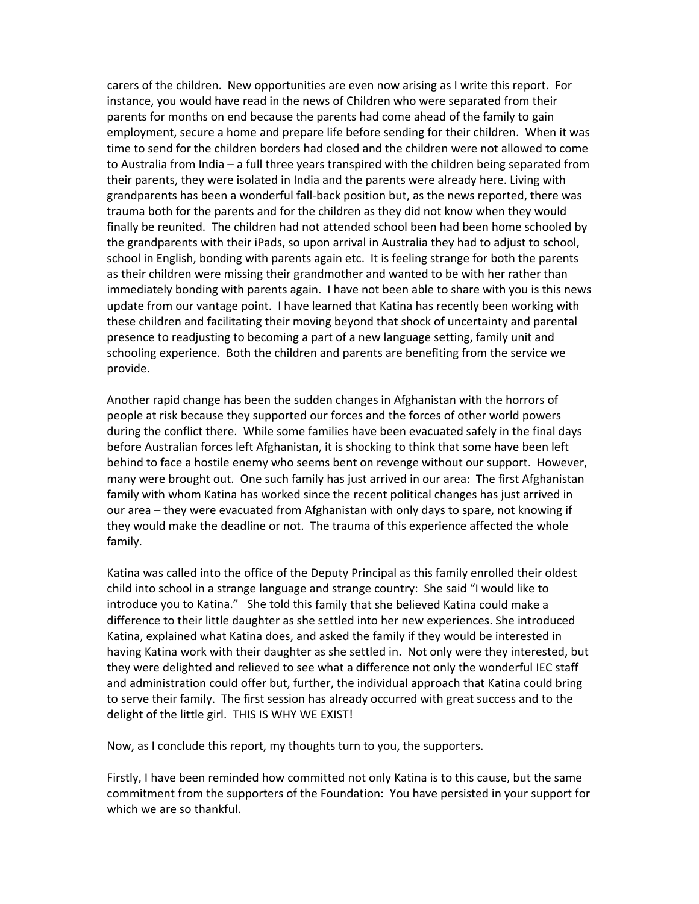carers of the children. New opportunities are even now arising as I write this report. For instance, you would have read in the news of Children who were separated from their parents for months on end because the parents had come ahead of the family to gain employment, secure a home and prepare life before sending for their children. When it was time to send for the children borders had closed and the children were not allowed to come to Australia from India – a full three years transpired with the children being separated from their parents, they were isolated in India and the parents were already here. Living with grandparents has been a wonderful fall‐back position but, as the news reported, there was trauma both for the parents and for the children as they did not know when they would finally be reunited. The children had not attended school been had been home schooled by the grandparents with their iPads, so upon arrival in Australia they had to adjust to school, school in English, bonding with parents again etc. It is feeling strange for both the parents as their children were missing their grandmother and wanted to be with her rather than immediately bonding with parents again. I have not been able to share with you is this news update from our vantage point. I have learned that Katina has recently been working with these children and facilitating their moving beyond that shock of uncertainty and parental presence to readjusting to becoming a part of a new language setting, family unit and schooling experience. Both the children and parents are benefiting from the service we provide.

Another rapid change has been the sudden changes in Afghanistan with the horrors of people at risk because they supported our forces and the forces of other world powers during the conflict there. While some families have been evacuated safely in the final days before Australian forces left Afghanistan, it is shocking to think that some have been left behind to face a hostile enemy who seems bent on revenge without our support. However, many were brought out. One such family has just arrived in our area: The first Afghanistan family with whom Katina has worked since the recent political changes has just arrived in our area – they were evacuated from Afghanistan with only days to spare, not knowing if they would make the deadline or not. The trauma of this experience affected the whole family.

Katina was called into the office of the Deputy Principal as this family enrolled their oldest child into school in a strange language and strange country: She said "I would like to introduce you to Katina." She told this family that she believed Katina could make a difference to their little daughter as she settled into her new experiences. She introduced Katina, explained what Katina does, and asked the family if they would be interested in having Katina work with their daughter as she settled in. Not only were they interested, but they were delighted and relieved to see what a difference not only the wonderful IEC staff and administration could offer but, further, the individual approach that Katina could bring to serve their family. The first session has already occurred with great success and to the delight of the little girl. THIS IS WHY WE EXIST!

Now, as I conclude this report, my thoughts turn to you, the supporters.

Firstly, I have been reminded how committed not only Katina is to this cause, but the same commitment from the supporters of the Foundation: You have persisted in your support for which we are so thankful.